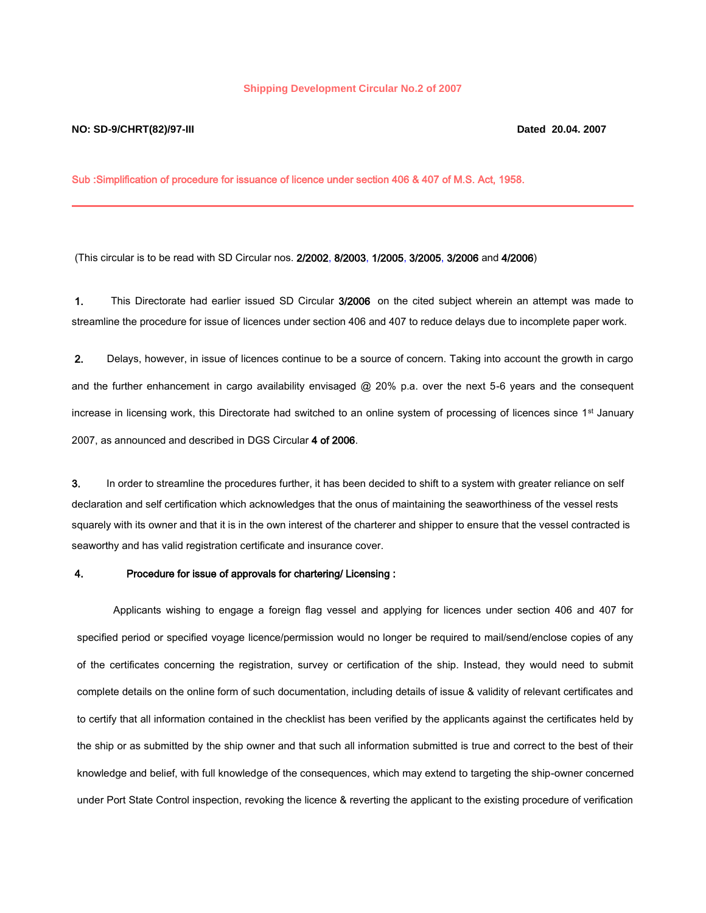## **Shipping Development Circular No.2 of 2007**

## **NO: SD-9/CHRT(82)/97-III Dated 20.04. 2007**

Sub :Simplification of procedure for issuance of licence under section 406 & 407 of M.S. Act, 1958.

(This circular is to be read with SD Circular nos. 2/2002, 8/2003, 1/2005, 3/2005, 3/2006 and 4/2006)

1. This Directorate had earlier issued SD Circular 3/2006 on the cited subject wherein an attempt was made to streamline the procedure for issue of licences under section 406 and 407 to reduce delays due to incomplete paper work.

2. Delays, however, in issue of licences continue to be a source of concern. Taking into account the growth in cargo and the further enhancement in cargo availability envisaged @ 20% p.a. over the next 5-6 years and the consequent increase in licensing work, this Directorate had switched to an online system of processing of licences since 1<sup>st</sup> January 2007, as announced and described in DGS Circular 4 of 2006.

3. In order to streamline the procedures further, it has been decided to shift to a system with greater reliance on self declaration and self certification which acknowledges that the onus of maintaining the seaworthiness of the vessel rests squarely with its owner and that it is in the own interest of the charterer and shipper to ensure that the vessel contracted is seaworthy and has valid registration certificate and insurance cover.

## 4. Procedure for issue of approvals for chartering/ Licensing :

Applicants wishing to engage a foreign flag vessel and applying for licences under section 406 and 407 for specified period or specified voyage licence/permission would no longer be required to mail/send/enclose copies of any of the certificates concerning the registration, survey or certification of the ship. Instead, they would need to submit complete details on the online form of such documentation, including details of issue & validity of relevant certificates and to certify that all information contained in the checklist has been verified by the applicants against the certificates held by the ship or as submitted by the ship owner and that such all information submitted is true and correct to the best of their knowledge and belief, with full knowledge of the consequences, which may extend to targeting the ship-owner concerned under Port State Control inspection, revoking the licence & reverting the applicant to the existing procedure of verification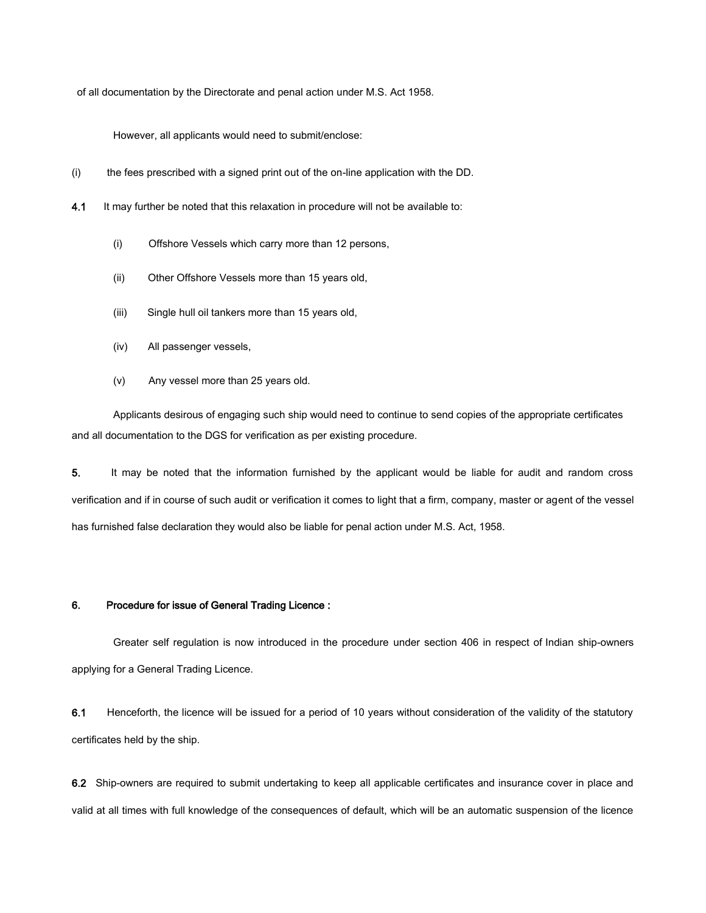of all documentation by the Directorate and penal action under M.S. Act 1958.

However, all applicants would need to submit/enclose:

- (i) the fees prescribed with a signed print out of the on-line application with the DD.
- 4.1 It may further be noted that this relaxation in procedure will not be available to:
	- (i) Offshore Vessels which carry more than 12 persons,
	- (ii) Other Offshore Vessels more than 15 years old,
	- (iii) Single hull oil tankers more than 15 years old,
	- (iv) All passenger vessels,
	- (v) Any vessel more than 25 years old.

Applicants desirous of engaging such ship would need to continue to send copies of the appropriate certificates and all documentation to the DGS for verification as per existing procedure.

5. It may be noted that the information furnished by the applicant would be liable for audit and random cross verification and if in course of such audit or verification it comes to light that a firm, company, master or agent of the vessel has furnished false declaration they would also be liable for penal action under M.S. Act, 1958.

## 6. Procedure for issue of General Trading Licence :

Greater self regulation is now introduced in the procedure under section 406 in respect of Indian ship-owners applying for a General Trading Licence.

6.1 Henceforth, the licence will be issued for a period of 10 years without consideration of the validity of the statutory certificates held by the ship.

6.2 Ship-owners are required to submit undertaking to keep all applicable certificates and insurance cover in place and valid at all times with full knowledge of the consequences of default, which will be an automatic suspension of the licence